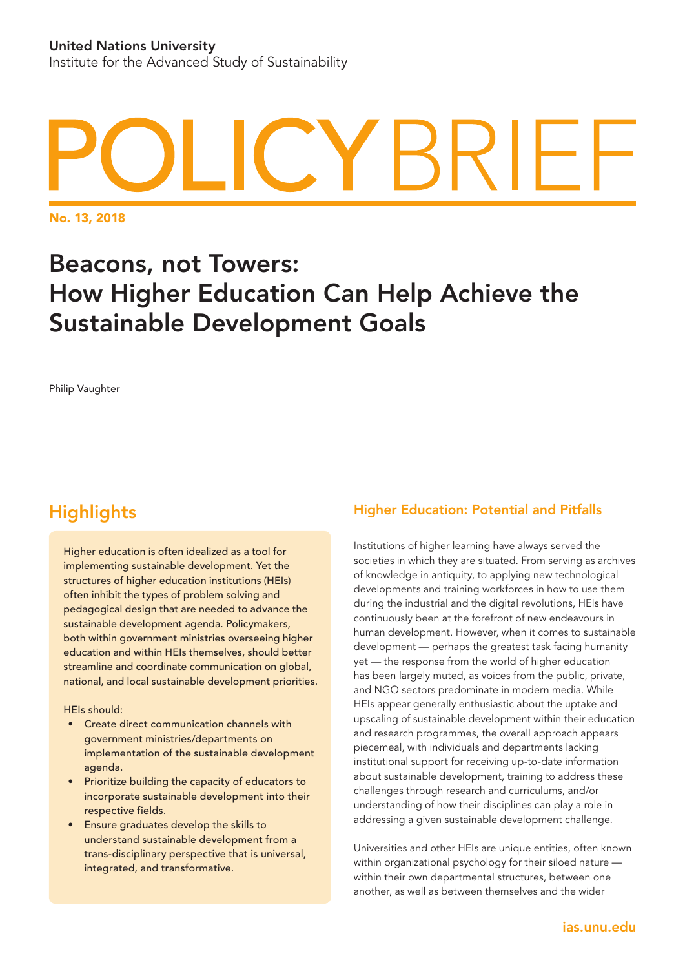# YBRIFI

No. 13, 2018

# Beacons, not Towers: How Higher Education Can Help Achieve the Sustainable Development Goals

Philip Vaughter

# **Highlights**

Higher education is often idealized as a tool for implementing sustainable development. Yet the structures of higher education institutions (HEIs) often inhibit the types of problem solving and pedagogical design that are needed to advance the sustainable development agenda. Policymakers, both within government ministries overseeing higher education and within HEIs themselves, should better streamline and coordinate communication on global, national, and local sustainable development priorities.

#### HEIs should:

- Create direct communication channels with government ministries/departments on implementation of the sustainable development agenda.
- Prioritize building the capacity of educators to incorporate sustainable development into their respective fields.
- Ensure graduates develop the skills to understand sustainable development from a trans-disciplinary perspective that is universal, integrated, and transformative.

## Higher Education: Potential and Pitfalls

Institutions of higher learning have always served the societies in which they are situated. From serving as archives of knowledge in antiquity, to applying new technological developments and training workforces in how to use them during the industrial and the digital revolutions, HEIs have continuously been at the forefront of new endeavours in human development. However, when it comes to sustainable development — perhaps the greatest task facing humanity yet — the response from the world of higher education has been largely muted, as voices from the public, private, and NGO sectors predominate in modern media. While HEIs appear generally enthusiastic about the uptake and upscaling of sustainable development within their education and research programmes, the overall approach appears piecemeal, with individuals and departments lacking institutional support for receiving up-to-date information about sustainable development, training to address these challenges through research and curriculums, and/or understanding of how their disciplines can play a role in addressing a given sustainable development challenge.

Universities and other HEIs are unique entities, often known within organizational psychology for their siloed nature within their own departmental structures, between one another, as well as between themselves and the wider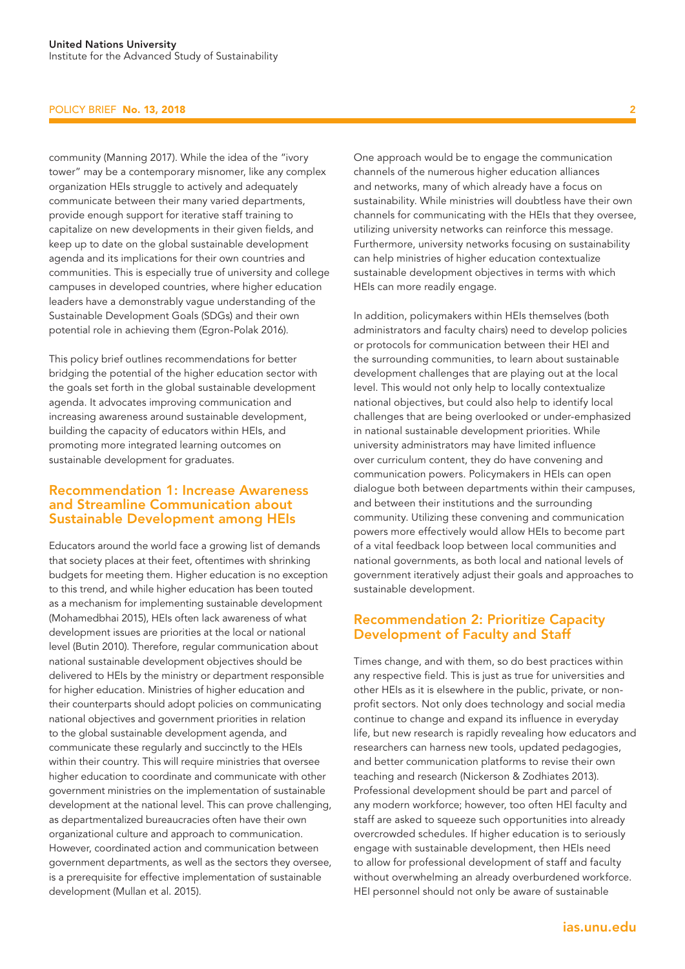#### POLICY BRIEF No. 13, 2018

community (Manning 2017). While the idea of the "ivory tower" may be a contemporary misnomer, like any complex organization HEIs struggle to actively and adequately communicate between their many varied departments, provide enough support for iterative staff training to capitalize on new developments in their given fields, and keep up to date on the global sustainable development agenda and its implications for their own countries and communities. This is especially true of university and college campuses in developed countries, where higher education leaders have a demonstrably vague understanding of the Sustainable Development Goals (SDGs) and their own potential role in achieving them (Egron-Polak 2016).

This policy brief outlines recommendations for better bridging the potential of the higher education sector with the goals set forth in the global sustainable development agenda. It advocates improving communication and increasing awareness around sustainable development, building the capacity of educators within HEIs, and promoting more integrated learning outcomes on sustainable development for graduates.

#### Recommendation 1: Increase Awareness and Streamline Communication about Sustainable Development among HEIs

Educators around the world face a growing list of demands that society places at their feet, oftentimes with shrinking budgets for meeting them. Higher education is no exception to this trend, and while higher education has been touted as a mechanism for implementing sustainable development (Mohamedbhai 2015), HEIs often lack awareness of what development issues are priorities at the local or national level (Butin 2010). Therefore, regular communication about national sustainable development objectives should be delivered to HEIs by the ministry or department responsible for higher education. Ministries of higher education and their counterparts should adopt policies on communicating national objectives and government priorities in relation to the global sustainable development agenda, and communicate these regularly and succinctly to the HEIs within their country. This will require ministries that oversee higher education to coordinate and communicate with other government ministries on the implementation of sustainable development at the national level. This can prove challenging, as departmentalized bureaucracies often have their own organizational culture and approach to communication. However, coordinated action and communication between government departments, as well as the sectors they oversee, is a prerequisite for effective implementation of sustainable development (Mullan et al. 2015).

One approach would be to engage the communication channels of the numerous higher education alliances and networks, many of which already have a focus on sustainability. While ministries will doubtless have their own channels for communicating with the HEIs that they oversee, utilizing university networks can reinforce this message. Furthermore, university networks focusing on sustainability can help ministries of higher education contextualize sustainable development objectives in terms with which HEIs can more readily engage.

In addition, policymakers within HEIs themselves (both administrators and faculty chairs) need to develop policies or protocols for communication between their HEI and the surrounding communities, to learn about sustainable development challenges that are playing out at the local level. This would not only help to locally contextualize national objectives, but could also help to identify local challenges that are being overlooked or under-emphasized in national sustainable development priorities. While university administrators may have limited influence over curriculum content, they do have convening and communication powers. Policymakers in HEIs can open dialogue both between departments within their campuses, and between their institutions and the surrounding community. Utilizing these convening and communication powers more effectively would allow HEIs to become part of a vital feedback loop between local communities and national governments, as both local and national levels of government iteratively adjust their goals and approaches to sustainable development.

### Recommendation 2: Prioritize Capacity Development of Faculty and Staff

Times change, and with them, so do best practices within any respective field. This is just as true for universities and other HEIs as it is elsewhere in the public, private, or nonprofit sectors. Not only does technology and social media continue to change and expand its influence in everyday life, but new research is rapidly revealing how educators and researchers can harness new tools, updated pedagogies, and better communication platforms to revise their own teaching and research (Nickerson & Zodhiates 2013). Professional development should be part and parcel of any modern workforce; however, too often HEI faculty and staff are asked to squeeze such opportunities into already overcrowded schedules. If higher education is to seriously engage with sustainable development, then HEIs need to allow for professional development of staff and faculty without overwhelming an already overburdened workforce. HEI personnel should not only be aware of sustainable

2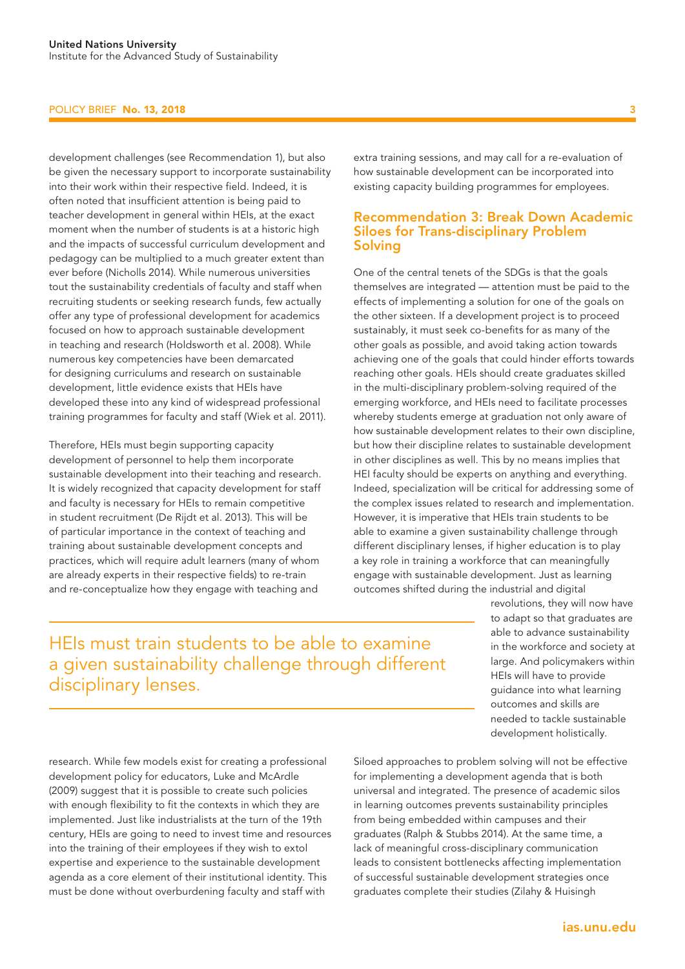#### POLICY BRIEF No. 13, 2018

development challenges (see Recommendation 1), but also be given the necessary support to incorporate sustainability into their work within their respective field. Indeed, it is often noted that insufficient attention is being paid to teacher development in general within HEIs, at the exact moment when the number of students is at a historic high and the impacts of successful curriculum development and pedagogy can be multiplied to a much greater extent than ever before (Nicholls 2014). While numerous universities tout the sustainability credentials of faculty and staff when recruiting students or seeking research funds, few actually offer any type of professional development for academics focused on how to approach sustainable development in teaching and research (Holdsworth et al. 2008). While numerous key competencies have been demarcated for designing curriculums and research on sustainable development, little evidence exists that HEIs have developed these into any kind of widespread professional training programmes for faculty and staff (Wiek et al. 2011).

Therefore, HEIs must begin supporting capacity development of personnel to help them incorporate sustainable development into their teaching and research. It is widely recognized that capacity development for staff and faculty is necessary for HEIs to remain competitive in student recruitment (De Rijdt et al. 2013). This will be of particular importance in the context of teaching and training about sustainable development concepts and practices, which will require adult learners (many of whom are already experts in their respective fields) to re-train and re-conceptualize how they engage with teaching and

extra training sessions, and may call for a re-evaluation of how sustainable development can be incorporated into existing capacity building programmes for employees.

## Recommendation 3: Break Down Academic Siloes for Trans-disciplinary Problem Solving

One of the central tenets of the SDGs is that the goals themselves are integrated — attention must be paid to the effects of implementing a solution for one of the goals on the other sixteen. If a development project is to proceed sustainably, it must seek co-benefits for as many of the other goals as possible, and avoid taking action towards achieving one of the goals that could hinder efforts towards reaching other goals. HEIs should create graduates skilled in the multi-disciplinary problem-solving required of the emerging workforce, and HEIs need to facilitate processes whereby students emerge at graduation not only aware of how sustainable development relates to their own discipline, but how their discipline relates to sustainable development in other disciplines as well. This by no means implies that HEI faculty should be experts on anything and everything. Indeed, specialization will be critical for addressing some of the complex issues related to research and implementation. However, it is imperative that HEIs train students to be able to examine a given sustainability challenge through different disciplinary lenses, if higher education is to play a key role in training a workforce that can meaningfully engage with sustainable development. Just as learning outcomes shifted during the industrial and digital

HEIs must train students to be able to examine a given sustainability challenge through different disciplinary lenses.

revolutions, they will now have to adapt so that graduates are able to advance sustainability in the workforce and society at large. And policymakers within HEIs will have to provide guidance into what learning outcomes and skills are needed to tackle sustainable development holistically.

research. While few models exist for creating a professional development policy for educators, Luke and McArdle (2009) suggest that it is possible to create such policies with enough flexibility to fit the contexts in which they are implemented. Just like industrialists at the turn of the 19th century, HEIs are going to need to invest time and resources into the training of their employees if they wish to extol expertise and experience to the sustainable development agenda as a core element of their institutional identity. This must be done without overburdening faculty and staff with

Siloed approaches to problem solving will not be effective for implementing a development agenda that is both universal and integrated. The presence of academic silos in learning outcomes prevents sustainability principles from being embedded within campuses and their graduates (Ralph & Stubbs 2014). At the same time, a lack of meaningful cross-disciplinary communication leads to consistent bottlenecks affecting implementation of successful sustainable development strategies once graduates complete their studies (Zilahy & Huisingh